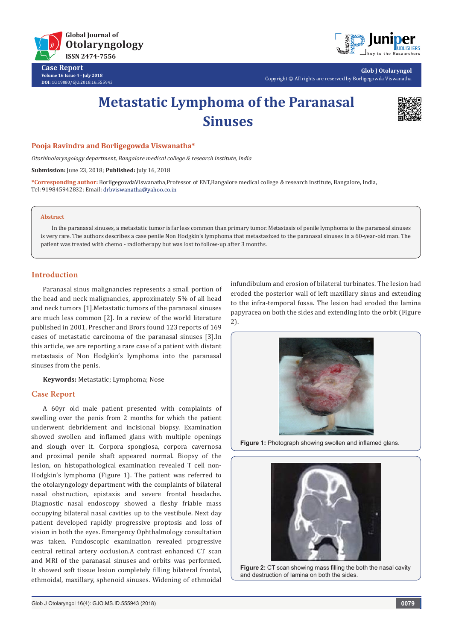

**Case Report Volume 16 Issue 4 - July 2018 DOI:** [10.19080/GJO.2018.16.555943](http://dx.doi.org/10.19080/GJO.2018.16.555943)



**Glob J Otolaryngol** Copyright © All rights are reserved by Borligegowda Viswanatha

# **Metastatic Lymphoma of the Paranasal Sinuses**



## **Pooja Ravindra and Borligegowda Viswanatha\***

*Otorhinolaryngology department, Bangalore medical college & research institute, India*

**Submission:** June 23, 2018; **Published:** July 16, 2018

**\*Corresponding author:** BorligegowdaViswanatha,Professor of ENT,Bangalore medical college & research institute, Bangalore, India, Tel: 919845942832; Email: drbviswanatha@yahoo.co.in

#### **Abstract**

In the paranasal sinuses, a metastatic tumor is far less common than primary tumor. Metastasis of penile lymphoma to the paranasal sinuses is very rare. The authors describes a case penile Non Hodgkin's lymphoma that metastasized to the paranasal sinuses in a 60-year-old man. The patient was treated with chemo - radiotherapy but was lost to follow-up after 3 months.

## **Introduction**

Paranasal sinus malignancies represents a small portion of the head and neck malignancies, approximately 5% of all head and neck tumors [1].Metastatic tumors of the paranasal sinuses are much less common [2]. In a review of the world literature published in 2001, Prescher and Brors found 123 reports of 169 cases of metastatic carcinoma of the paranasal sinuses [3].In this article, we are reporting a rare case of a patient with distant metastasis of Non Hodgkin's lymphoma into the paranasal sinuses from the penis.

**Keywords:** Metastatic; Lymphoma; Nose

### **Case Report**

A 60yr old male patient presented with complaints of swelling over the penis from 2 months for which the patient underwent debridement and incisional biopsy. Examination showed swollen and inflamed glans with multiple openings and slough over it. Corpora spongiosa, corpora cavernosa and proximal penile shaft appeared normal. Biopsy of the lesion, on histopathological examination revealed T cell non-Hodgkin's lymphoma (Figure 1). The patient was referred to the otolaryngology department with the complaints of bilateral nasal obstruction, epistaxis and severe frontal headache. Diagnostic nasal endoscopy showed a fleshy friable mass occupying bilateral nasal cavities up to the vestibule. Next day patient developed rapidly progressive proptosis and loss of vision in both the eyes. Emergency Ophthalmology consultation was taken. Fundoscopic examination revealed progressive central retinal artery occlusion.A contrast enhanced CT scan and MRI of the paranasal sinuses and orbits was performed. It showed soft tissue lesion completely filling bilateral frontal, ethmoidal, maxillary, sphenoid sinuses. Widening of ethmoidal

infundibulum and erosion of bilateral turbinates. The lesion had eroded the posterior wall of left maxillary sinus and extending to the infra-temporal fossa. The lesion had eroded the lamina papyracea on both the sides and extending into the orbit (Figure 2).



**Figure 1:** Photograph showing swollen and inflamed glans.



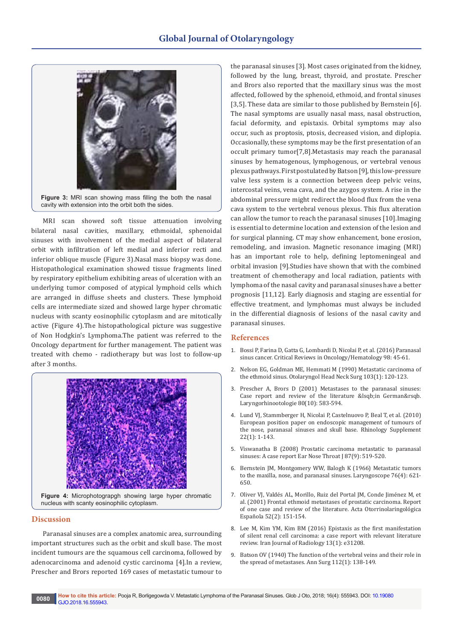

MRI scan showed soft tissue attenuation involving bilateral nasal cavities, maxillary, ethmoidal, sphenoidal sinuses with involvement of the medial aspect of bilateral orbit with infiltration of left medial and inferior recti and inferior oblique muscle (Figure 3).Nasal mass biopsy was done. Histopathological examination showed tissue fragments lined by respiratory epithelium exhibiting areas of ulceration with an underlying tumor composed of atypical lymphoid cells which are arranged in diffuse sheets and clusters. These lymphoid cells are intermediate sized and showed large hyper chromatic nucleus with scanty eosinophilic cytoplasm and are mitotically active (Figure 4).The histopathological picture was suggestive of Non Hodgkin's Lymphoma.The patient was referred to the Oncology department for further management. The patient was treated with chemo - radiotherapy but was lost to follow-up after 3 months.



**Figure 4:** Microphotograpgh showing large hyper chromatic nucleus with scanty eosinophilic cytoplasm.

#### **Discussion**

Paranasal sinuses are a complex anatomic area, surrounding important structures such as the orbit and skull base. The most incident tumours are the squamous cell carcinoma, followed by adenocarcinoma and adenoid cystic carcinoma [4].In a review, Prescher and Brors reported 169 cases of metastatic tumour to

the paranasal sinuses [3]. Most cases originated from the kidney, followed by the lung, breast, thyroid, and prostate. Prescher and Brors also reported that the maxillary sinus was the most affected, followed by the sphenoid, ethmoid, and frontal sinuses [3,5]. These data are similar to those published by Bernstein [6]. The nasal symptoms are usually nasal mass, nasal obstruction, facial deformity, and epistaxis. Orbital symptoms may also occur, such as proptosis, ptosis, decreased vision, and diplopia. Occasionally, these symptoms may be the first presentation of an occult primary tumor[7,8].Metastasis may reach the paranasal sinuses by hematogenous, lymphogenous, or vertebral venous plexus pathways. First postulated by Batson [9], this low-pressure valve less system is a connection between deep pelvic veins, intercostal veins, vena cava, and the azygos system. A rise in the abdominal pressure might redirect the blood flux from the vena cava system to the vertebral venous plexus. This flux alteration can allow the tumor to reach the paranasal sinuses [10].Imaging is essential to determine location and extension of the lesion and for surgical planning. CT may show enhancement, bone erosion, remodeling, and invasion. Magnetic resonance imaging (MRI) has an important role to help, defining leptomeningeal and orbital invasion [9].Studies have shown that with the combined treatment of chemotherapy and local radiation, patients with lymphoma of the nasal cavity and paranasal sinuses have a better prognosis [11,12]. Early diagnosis and staging are essential for effective treatment, and lymphomas must always be included in the differential diagnosis of lesions of the nasal cavity and paranasal sinuses.

#### **References**

- 1. [Bossi P, Farina D, Gatta G, Lombardi D, Nicolai P, et al. \(2016\) Paranasal](https://www.croh-online.com/article/S1040-8428(15)30049-4/abstract)  [sinus cancer. Critical Reviews in Oncology/Hematology 98: 45-61.](https://www.croh-online.com/article/S1040-8428(15)30049-4/abstract)
- 2. [Nelson EG, Goldman ME, Hemmati M \(1990\) Metastatic carcinoma of](http://journals.sagepub.com/doi/abs/10.1177/019459989010300119?journalCode=otoj)  [the ethmoid sinus. Otolaryngol Head Neck Surg 103\(1\): 120-123.](http://journals.sagepub.com/doi/abs/10.1177/019459989010300119?journalCode=otoj)
- 3. [Prescher A, Brors D \(2001\) Metastases to the paranasal sinuses:](https://www.ncbi.nlm.nih.gov/pubmed/11602931)  Case report and review of the literature [in German&rsqb. [Laryngorhinootologie 80\(10\): 583-594.](https://www.ncbi.nlm.nih.gov/pubmed/11602931)
- 4. [Lund VJ, Stammberger H, Nicolai P, Castelnuovo P, Beal T, et al. \(2010\)](https://www.ncbi.nlm.nih.gov/pubmed/20502772)  [European position paper on endoscopic management of tumours of](https://www.ncbi.nlm.nih.gov/pubmed/20502772)  [the nose, paranasal sinuses and skull base. Rhinology Supplement](https://www.ncbi.nlm.nih.gov/pubmed/20502772)  [22\(1\): 1-143.](https://www.ncbi.nlm.nih.gov/pubmed/20502772)
- 5. [Viswanatha B \(2008\) Prostatic carcinoma metastatic to paranasal](https://www.ncbi.nlm.nih.gov/pubmed/18800324)  [sinuses: A case report Ear Nose Throat J 87\(9\): 519-520.](https://www.ncbi.nlm.nih.gov/pubmed/18800324)
- 6. [Bernstein JM, Montgomery WW, Balogh K \(1966\) Metastatic tumors](https://onlinelibrary.wiley.com/doi/abs/10.1288/00005537-196604000-00003)  [to the maxilla, nose, and paranasal sinuses. Laryngoscope 76\(4\): 621-](https://onlinelibrary.wiley.com/doi/abs/10.1288/00005537-196604000-00003) [650.](https://onlinelibrary.wiley.com/doi/abs/10.1288/00005537-196604000-00003)
- 7. [Oliver VJ, Valdés AL, Morillo, Ruiz del Portal JM, Conde Jiménez M, et](https://www.ncbi.nlm.nih.gov/pubmed/11428272)  [al. \(2001\) Frontal ethmoid metastases of prostatic carcinoma. Report](https://www.ncbi.nlm.nih.gov/pubmed/11428272)  [of one case and review of the literature. Acta Otorrinolaringológica](https://www.ncbi.nlm.nih.gov/pubmed/11428272)  [Española 52\(2\): 151-154.](https://www.ncbi.nlm.nih.gov/pubmed/11428272)
- 8. [Lee M, Kim YM, Kim BM \(2016\) Epistaxis as the first manifestation](https://www.ncbi.nlm.nih.gov/pmc/articles/PMC4835635/)  [of silent renal cell carcinoma: a case report with relevant literature](https://www.ncbi.nlm.nih.gov/pmc/articles/PMC4835635/)  [review. Iran Journal of Radiology 13\(1\): e31208.](https://www.ncbi.nlm.nih.gov/pmc/articles/PMC4835635/)
- 9. [Batson OV \(1940\) The function of the vertebral veins and their role in](https://www.ncbi.nlm.nih.gov/pubmed/17857618)  [the spread of metastases. Ann Surg 112\(1\): 138-149.](https://www.ncbi.nlm.nih.gov/pubmed/17857618)